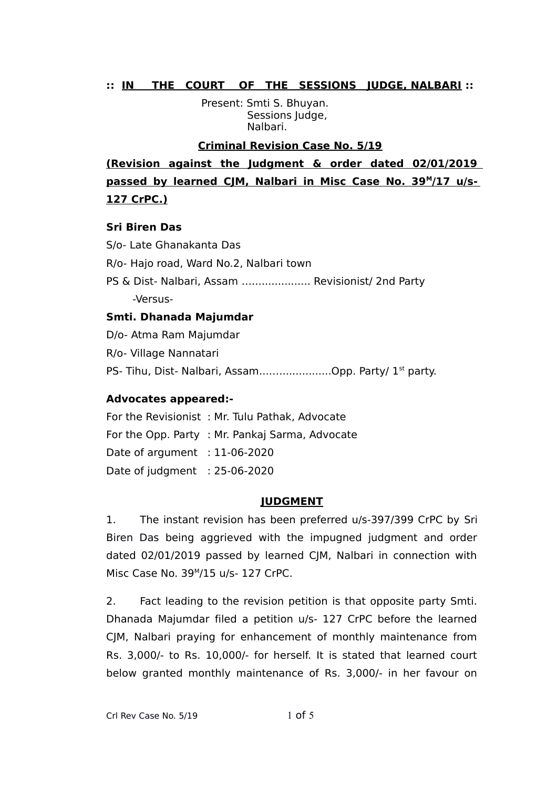## **:: IN THE COURT OF THE SESSIONS JUDGE, NALBARI ::**

 Present: Smti S. Bhuyan. Sessions Judge, Nalbari.

#### **Criminal Revision Case No. 5/19**

**(Revision against the Judgment & order dated 02/01/2019** passed by learned CJM, Nalbari in Misc Case No. 39<sup>M</sup>/17 u/s-**127 CrPC.)**

#### **Sri Biren Das**

S/o- Late Ghanakanta Das R/o- Hajo road, Ward No.2, Nalbari town PS & Dist- Nalbari, Assam ….................. Revisionist/ 2nd Party -Versus-

## **Smti. Dhanada Majumdar**

D/o- Atma Ram Majumdar R/o- Village Nannatari PS- Tihu, Dist- Nalbari, Assam............................Opp. Party/ 1<sup>st</sup> party.

## **Advocates appeared:-**

For the Revisionist : Mr. Tulu Pathak, Advocate For the Opp. Party : Mr. Pankaj Sarma, Advocate Date of argument : 11-06-2020 Date of judgment : 25-06-2020

#### **JUDGMENT**

1. The instant revision has been preferred u/s-397/399 CrPC by Sri Biren Das being aggrieved with the impugned judgment and order dated 02/01/2019 passed by learned CJM, Nalbari in connection with Misc Case No. 39<sup>M</sup> /15 u/s- 127 CrPC.

2. Fact leading to the revision petition is that opposite party Smti. Dhanada Majumdar filed a petition u/s- 127 CrPC before the learned CJM, Nalbari praying for enhancement of monthly maintenance from Rs. 3,000/- to Rs. 10,000/- for herself. It is stated that learned court below granted monthly maintenance of Rs. 3,000/- in her favour on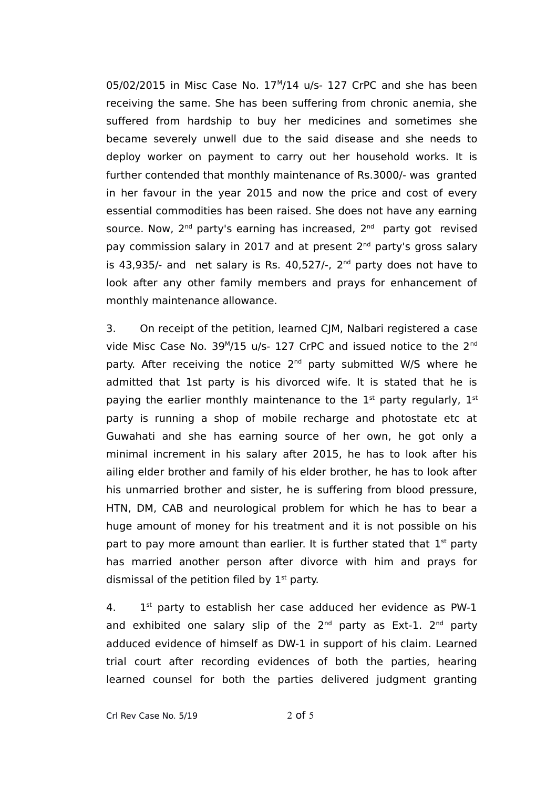05/02/2015 in Misc Case No. 17<sup>M</sup>/14 u/s- 127 CrPC and she has been receiving the same. She has been suffering from chronic anemia, she suffered from hardship to buy her medicines and sometimes she became severely unwell due to the said disease and she needs to deploy worker on payment to carry out her household works. It is further contended that monthly maintenance of Rs.3000/- was granted in her favour in the year 2015 and now the price and cost of every essential commodities has been raised. She does not have any earning source. Now, 2<sup>nd</sup> party's earning has increased, 2<sup>nd</sup> party got revised pay commission salary in 2017 and at present 2<sup>nd</sup> party's gross salary is 43,935/- and net salary is Rs. 40,527/-,  $2<sup>nd</sup>$  party does not have to look after any other family members and prays for enhancement of monthly maintenance allowance.

3. On receipt of the petition, learned CJM, Nalbari registered a case vide Misc Case No. 39<sup>M</sup>/15 u/s- 127 CrPC and issued notice to the 2<sup>nd</sup> party. After receiving the notice  $2<sup>nd</sup>$  party submitted W/S where he admitted that 1st party is his divorced wife. It is stated that he is paying the earlier monthly maintenance to the  $1<sup>st</sup>$  party regularly,  $1<sup>st</sup>$ party is running a shop of mobile recharge and photostate etc at Guwahati and she has earning source of her own, he got only a minimal increment in his salary after 2015, he has to look after his ailing elder brother and family of his elder brother, he has to look after his unmarried brother and sister, he is suffering from blood pressure, HTN, DM, CAB and neurological problem for which he has to bear a huge amount of money for his treatment and it is not possible on his part to pay more amount than earlier. It is further stated that  $1<sup>st</sup>$  party has married another person after divorce with him and prays for dismissal of the petition filed by  $1<sup>st</sup>$  party.

 $4<sub>1</sub>$  $1<sup>st</sup>$  party to establish her case adduced her evidence as PW-1 and exhibited one salary slip of the  $2^{nd}$  party as Ext-1.  $2^{nd}$  party adduced evidence of himself as DW-1 in support of his claim. Learned trial court after recording evidences of both the parties, hearing learned counsel for both the parties delivered judgment granting

Crl Rev Case No.  $5/19$  2 of 5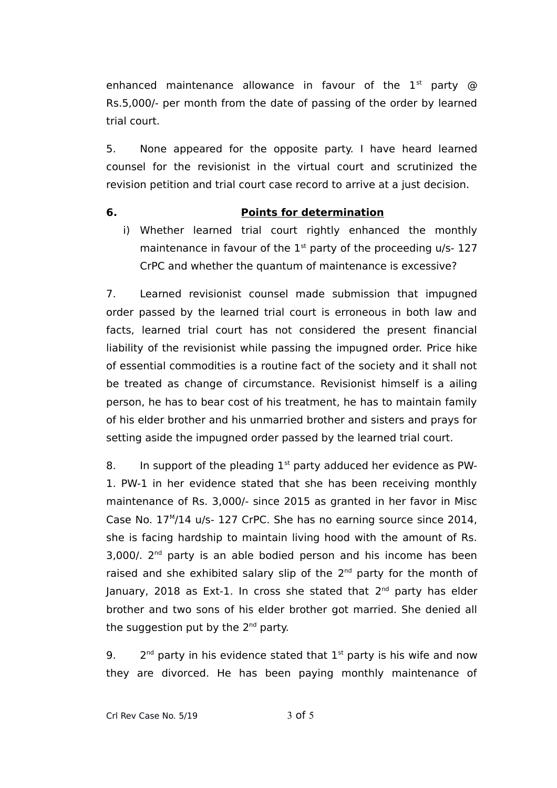enhanced maintenance allowance in favour of the  $1<sup>st</sup>$  party  $@$ Rs.5,000/- per month from the date of passing of the order by learned trial court.

5. None appeared for the opposite party. I have heard learned counsel for the revisionist in the virtual court and scrutinized the revision petition and trial court case record to arrive at a just decision.

# **6. Points for determination**

i) Whether learned trial court rightly enhanced the monthly maintenance in favour of the  $1<sup>st</sup>$  party of the proceeding u/s- 127 CrPC and whether the quantum of maintenance is excessive?

7. Learned revisionist counsel made submission that impugned order passed by the learned trial court is erroneous in both law and facts, learned trial court has not considered the present financial liability of the revisionist while passing the impugned order. Price hike of essential commodities is a routine fact of the society and it shall not be treated as change of circumstance. Revisionist himself is a ailing person, he has to bear cost of his treatment, he has to maintain family of his elder brother and his unmarried brother and sisters and prays for setting aside the impugned order passed by the learned trial court.

8. In support of the pleading  $1<sup>st</sup>$  party adduced her evidence as PW-1. PW-1 in her evidence stated that she has been receiving monthly maintenance of Rs. 3,000/- since 2015 as granted in her favor in Misc Case No. 17<sup>M</sup>/14 u/s- 127 CrPC. She has no earning source since 2014, she is facing hardship to maintain living hood with the amount of Rs. 3,000/. 2<sup>nd</sup> party is an able bodied person and his income has been raised and she exhibited salary slip of the  $2<sup>nd</sup>$  party for the month of January, 2018 as Ext-1. In cross she stated that 2<sup>nd</sup> party has elder brother and two sons of his elder brother got married. She denied all the suggestion put by the 2<sup>nd</sup> party.

 $\mathbf{q}$ .  $2^{nd}$  party in his evidence stated that  $1^{st}$  party is his wife and now they are divorced. He has been paying monthly maintenance of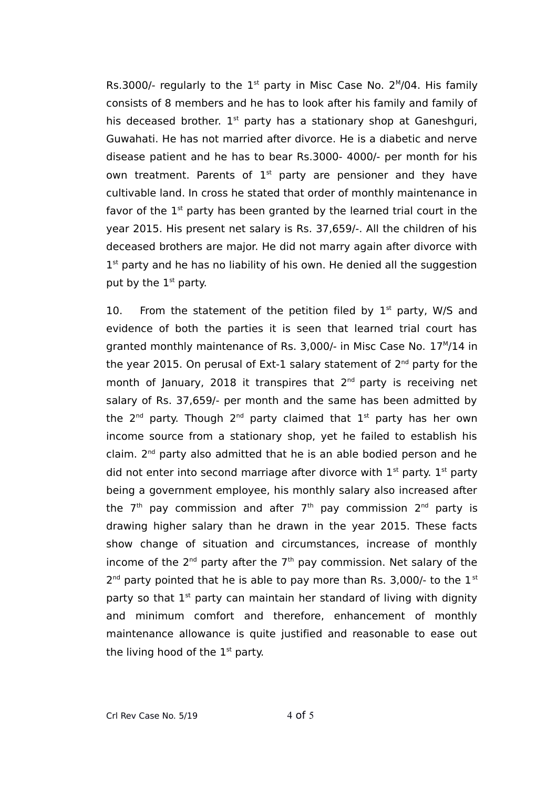Rs.3000/- regularly to the  $1<sup>st</sup>$  party in Misc Case No. 2<sup>M</sup>/04. His family consists of 8 members and he has to look after his family and family of his deceased brother.  $1<sup>st</sup>$  party has a stationary shop at Ganeshguri, Guwahati. He has not married after divorce. He is a diabetic and nerve disease patient and he has to bear Rs.3000- 4000/- per month for his own treatment. Parents of  $1<sup>st</sup>$  party are pensioner and they have cultivable land. In cross he stated that order of monthly maintenance in favor of the  $1<sup>st</sup>$  party has been granted by the learned trial court in the year 2015. His present net salary is Rs. 37,659/-. All the children of his deceased brothers are major. He did not marry again after divorce with 1<sup>st</sup> party and he has no liability of his own. He denied all the suggestion put by the  $1<sup>st</sup>$  party.

10. From the statement of the petition filed by  $1<sup>st</sup>$  party, W/S and evidence of both the parties it is seen that learned trial court has granted monthly maintenance of Rs. 3,000/- in Misc Case No. 17<sup>M</sup>/14 in the year 2015. On perusal of Ext-1 salary statement of 2<sup>nd</sup> party for the month of January, 2018 it transpires that  $2<sup>nd</sup>$  party is receiving net salary of Rs. 37,659/- per month and the same has been admitted by the 2<sup>nd</sup> party. Though 2<sup>nd</sup> party claimed that 1st party has her own income source from a stationary shop, yet he failed to establish his claim. 2<sup>nd</sup> party also admitted that he is an able bodied person and he did not enter into second marriage after divorce with  $1<sup>st</sup>$  party.  $1<sup>st</sup>$  party being a government employee, his monthly salary also increased after the 7<sup>th</sup> pay commission and after 7<sup>th</sup> pay commission 2<sup>nd</sup> party is drawing higher salary than he drawn in the year 2015. These facts show change of situation and circumstances, increase of monthly income of the  $2^{nd}$  party after the  $7<sup>th</sup>$  pay commission. Net salary of the  $2^{nd}$  party pointed that he is able to pay more than Rs. 3,000/- to the  $1^{st}$ party so that  $1<sup>st</sup>$  party can maintain her standard of living with dignity and minimum comfort and therefore, enhancement of monthly maintenance allowance is quite justified and reasonable to ease out the living hood of the  $1<sup>st</sup>$  party.